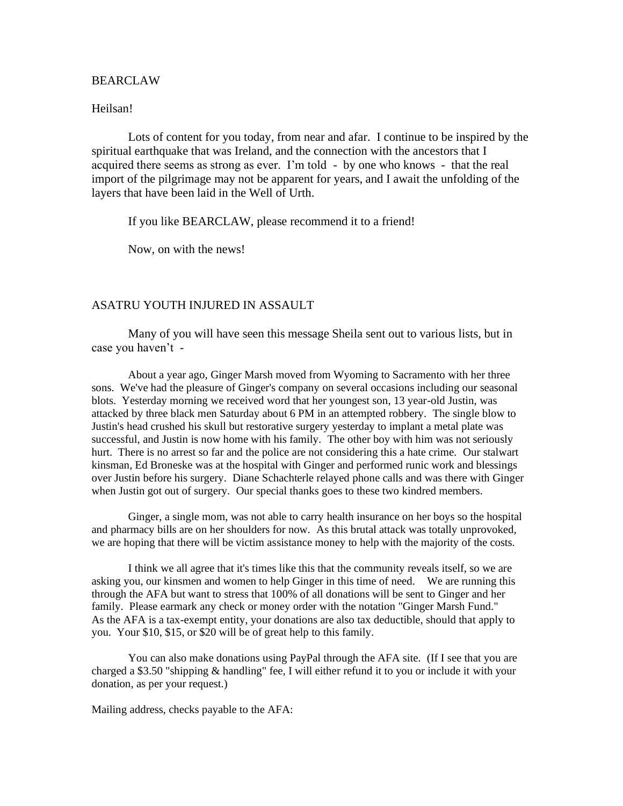## BEARCLAW

#### Heilsan!

Lots of content for you today, from near and afar. I continue to be inspired by the spiritual earthquake that was Ireland, and the connection with the ancestors that I acquired there seems as strong as ever. I'm told - by one who knows - that the real import of the pilgrimage may not be apparent for years, and I await the unfolding of the layers that have been laid in the Well of Urth.

If you like BEARCLAW, please recommend it to a friend!

Now, on with the news!

# ASATRU YOUTH INJURED IN ASSAULT

Many of you will have seen this message Sheila sent out to various lists, but in case you haven't -

About a year ago, Ginger Marsh moved from Wyoming to Sacramento with her three sons. We've had the pleasure of Ginger's company on several occasions including our seasonal blots. Yesterday morning we received word that her youngest son, 13 year-old Justin, was attacked by three black men Saturday about 6 PM in an attempted robbery. The single blow to Justin's head crushed his skull but restorative surgery yesterday to implant a metal plate was successful, and Justin is now home with his family. The other boy with him was not seriously hurt. There is no arrest so far and the police are not considering this a hate crime. Our stalwart kinsman, Ed Broneske was at the hospital with Ginger and performed runic work and blessings over Justin before his surgery. Diane Schachterle relayed phone calls and was there with Ginger when Justin got out of surgery. Our special thanks goes to these two kindred members.

Ginger, a single mom, was not able to carry health insurance on her boys so the hospital and pharmacy bills are on her shoulders for now. As this brutal attack was totally unprovoked, we are hoping that there will be victim assistance money to help with the majority of the costs.

I think we all agree that it's times like this that the community reveals itself, so we are asking you, our kinsmen and women to help Ginger in this time of need. We are running this through the AFA but want to stress that 100% of all donations will be sent to Ginger and her family. Please earmark any check or money order with the notation "Ginger Marsh Fund." As the AFA is a tax-exempt entity, your donations are also tax deductible, should that apply to you. Your \$10, \$15, or \$20 will be of great help to this family.

You can also make donations using PayPal through the AFA site. (If I see that you are charged a \$3.50 "shipping & handling" fee, I will either refund it to you or include it with your donation, as per your request.)

Mailing address, checks payable to the AFA: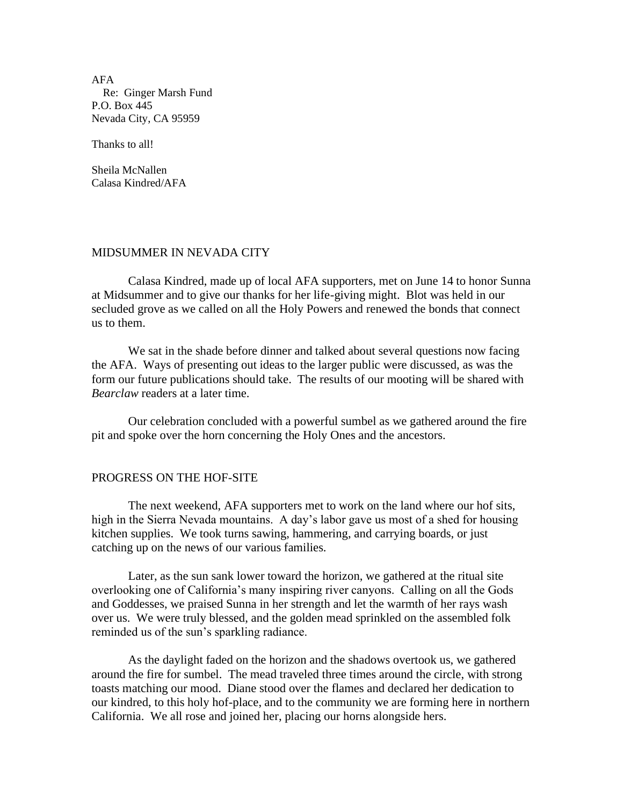AFA Re: Ginger Marsh Fund P.O. Box 445 Nevada City, CA 95959

Thanks to all!

Sheila McNallen Calasa Kindred/AFA

## MIDSUMMER IN NEVADA CITY

Calasa Kindred, made up of local AFA supporters, met on June 14 to honor Sunna at Midsummer and to give our thanks for her life-giving might. Blot was held in our secluded grove as we called on all the Holy Powers and renewed the bonds that connect us to them.

We sat in the shade before dinner and talked about several questions now facing the AFA. Ways of presenting out ideas to the larger public were discussed, as was the form our future publications should take. The results of our mooting will be shared with *Bearclaw* readers at a later time.

Our celebration concluded with a powerful sumbel as we gathered around the fire pit and spoke over the horn concerning the Holy Ones and the ancestors.

# PROGRESS ON THE HOF-SITE

The next weekend, AFA supporters met to work on the land where our hof sits, high in the Sierra Nevada mountains. A day's labor gave us most of a shed for housing kitchen supplies. We took turns sawing, hammering, and carrying boards, or just catching up on the news of our various families.

Later, as the sun sank lower toward the horizon, we gathered at the ritual site overlooking one of California's many inspiring river canyons. Calling on all the Gods and Goddesses, we praised Sunna in her strength and let the warmth of her rays wash over us. We were truly blessed, and the golden mead sprinkled on the assembled folk reminded us of the sun's sparkling radiance.

As the daylight faded on the horizon and the shadows overtook us, we gathered around the fire for sumbel. The mead traveled three times around the circle, with strong toasts matching our mood. Diane stood over the flames and declared her dedication to our kindred, to this holy hof-place, and to the community we are forming here in northern California. We all rose and joined her, placing our horns alongside hers.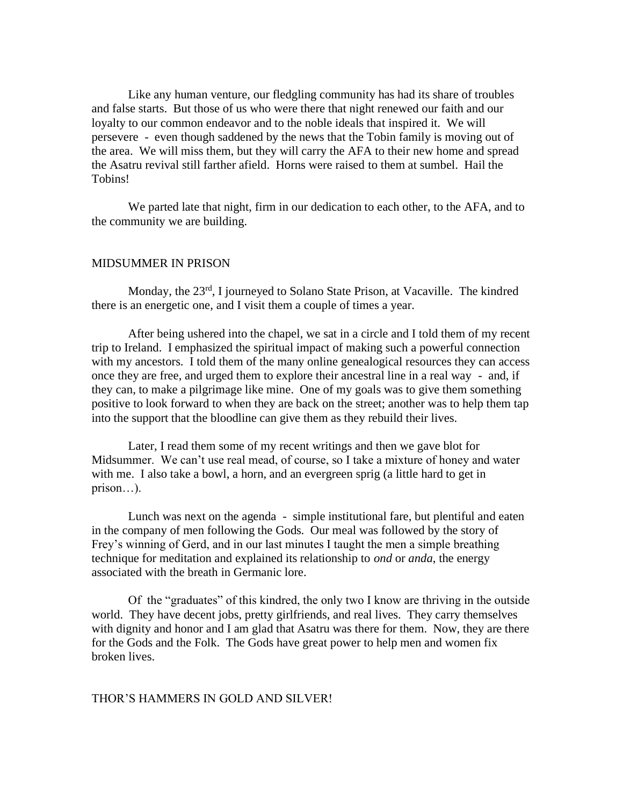Like any human venture, our fledgling community has had its share of troubles and false starts. But those of us who were there that night renewed our faith and our loyalty to our common endeavor and to the noble ideals that inspired it. We will persevere - even though saddened by the news that the Tobin family is moving out of the area. We will miss them, but they will carry the AFA to their new home and spread the Asatru revival still farther afield. Horns were raised to them at sumbel. Hail the Tobins!

We parted late that night, firm in our dedication to each other, to the AFA, and to the community we are building.

## MIDSUMMER IN PRISON

Monday, the 23<sup>rd</sup>, I journeyed to Solano State Prison, at Vacaville. The kindred there is an energetic one, and I visit them a couple of times a year.

After being ushered into the chapel, we sat in a circle and I told them of my recent trip to Ireland. I emphasized the spiritual impact of making such a powerful connection with my ancestors. I told them of the many online genealogical resources they can access once they are free, and urged them to explore their ancestral line in a real way - and, if they can, to make a pilgrimage like mine. One of my goals was to give them something positive to look forward to when they are back on the street; another was to help them tap into the support that the bloodline can give them as they rebuild their lives.

Later, I read them some of my recent writings and then we gave blot for Midsummer. We can't use real mead, of course, so I take a mixture of honey and water with me. I also take a bowl, a horn, and an evergreen sprig (a little hard to get in prison…).

Lunch was next on the agenda - simple institutional fare, but plentiful and eaten in the company of men following the Gods. Our meal was followed by the story of Frey's winning of Gerd, and in our last minutes I taught the men a simple breathing technique for meditation and explained its relationship to *ond* or *anda*, the energy associated with the breath in Germanic lore.

Of the "graduates" of this kindred, the only two I know are thriving in the outside world. They have decent jobs, pretty girlfriends, and real lives. They carry themselves with dignity and honor and I am glad that Asatru was there for them. Now, they are there for the Gods and the Folk. The Gods have great power to help men and women fix broken lives.

# THOR'S HAMMERS IN GOLD AND SILVER!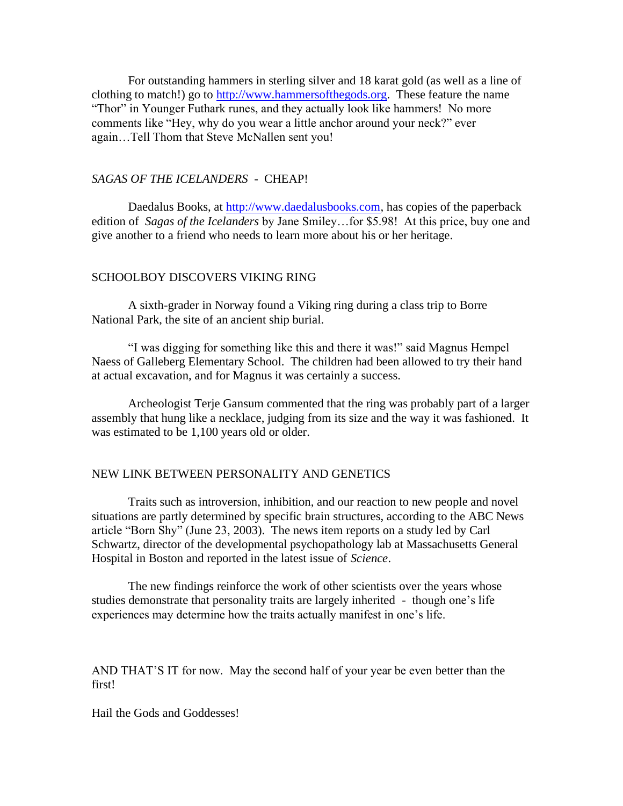For outstanding hammers in sterling silver and 18 karat gold (as well as a line of clothing to match!) go to [http://www.hammersofthegods.org.](http://www.hammersofthegods.org/) These feature the name "Thor" in Younger Futhark runes, and they actually look like hammers! No more comments like "Hey, why do you wear a little anchor around your neck?" ever again…Tell Thom that Steve McNallen sent you!

# *SAGAS OF THE ICELANDERS -* CHEAP!

Daedalus Books, at [http://www.daedalusbooks.com,](http://www.daedelusbooks.com/) has copies of the paperback edition of *Sagas of the Icelanders* by Jane Smiley…for \$5.98! At this price, buy one and give another to a friend who needs to learn more about his or her heritage.

### SCHOOLBOY DISCOVERS VIKING RING

A sixth-grader in Norway found a Viking ring during a class trip to Borre National Park, the site of an ancient ship burial.

"I was digging for something like this and there it was!" said Magnus Hempel Naess of Galleberg Elementary School. The children had been allowed to try their hand at actual excavation, and for Magnus it was certainly a success.

Archeologist Terje Gansum commented that the ring was probably part of a larger assembly that hung like a necklace, judging from its size and the way it was fashioned. It was estimated to be 1,100 years old or older.

## NEW LINK BETWEEN PERSONALITY AND GENETICS

Traits such as introversion, inhibition, and our reaction to new people and novel situations are partly determined by specific brain structures, according to the ABC News article "Born Shy" (June 23, 2003). The news item reports on a study led by Carl Schwartz, director of the developmental psychopathology lab at Massachusetts General Hospital in Boston and reported in the latest issue of *Science*.

The new findings reinforce the work of other scientists over the years whose studies demonstrate that personality traits are largely inherited - though one's life experiences may determine how the traits actually manifest in one's life.

AND THAT'S IT for now. May the second half of your year be even better than the first!

Hail the Gods and Goddesses!